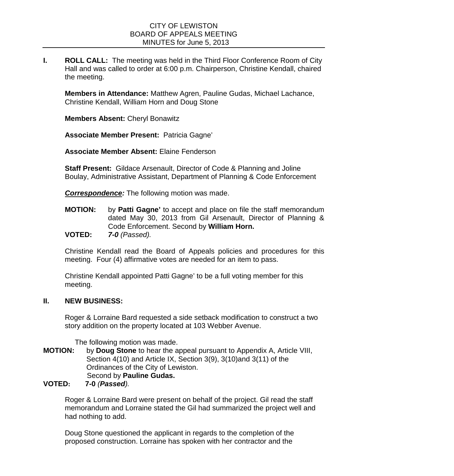## CITY OF LEWISTON BOARD OF APPEALS MEETING MINUTES for June 5, 2013

**I. ROLL CALL:** The meeting was held in the Third Floor Conference Room of City Hall and was called to order at 6:00 p.m. Chairperson, Christine Kendall, chaired the meeting.

**Members in Attendance:** Matthew Agren, Pauline Gudas, Michael Lachance, Christine Kendall, William Horn and Doug Stone

**Members Absent:** Cheryl Bonawitz

**Associate Member Present:** Patricia Gagne'

**Associate Member Absent:** Elaine Fenderson

**Staff Present:** Gildace Arsenault, Director of Code & Planning and Joline Boulay, Administrative Assistant, Department of Planning & Code Enforcement

*Correspondence:* The following motion was made.

**MOTION:** by **Patti Gagne'** to accept and place on file the staff memorandum dated May 30, 2013 from Gil Arsenault, Director of Planning & Code Enforcement. Second by **William Horn. VOTED:** *7-0 (Passed).*

Christine Kendall read the Board of Appeals policies and procedures for this meeting. Four (4) affirmative votes are needed for an item to pass.

Christine Kendall appointed Patti Gagne' to be a full voting member for this meeting.

## **II. NEW BUSINESS:**

Roger & Lorraine Bard requested a side setback modification to construct a two story addition on the property located at 103 Webber Avenue.

The following motion was made.

- **MOTION:** by **Doug Stone** to hear the appeal pursuant to Appendix A, Article VIII, Section 4(10) and Article IX, Section 3(9), 3(10)and 3(11) of the Ordinances of the City of Lewiston.  **Pauline Gudas.**<br> **YOTED: 7-0** *(Passed).*
- **VOTED: 7-0** *(Passed).*

Roger & Lorraine Bard were present on behalf of the project. Gil read the staff memorandum and Lorraine stated the Gil had summarized the project well and had nothing to add.

Doug Stone questioned the applicant in regards to the completion of the proposed construction. Lorraine has spoken with her contractor and the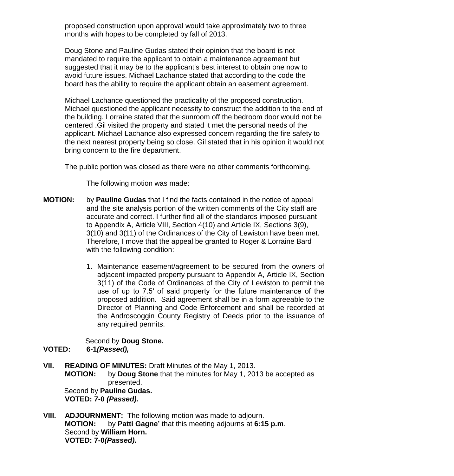proposed construction upon approval would take approximately two to three months with hopes to be completed by fall of 2013.

Doug Stone and Pauline Gudas stated their opinion that the board is not mandated to require the applicant to obtain a maintenance agreement but suggested that it may be to the applicant's best interest to obtain one now to avoid future issues. Michael Lachance stated that according to the code the board has the ability to require the applicant obtain an easement agreement.

Michael Lachance questioned the practicality of the proposed construction. Michael questioned the applicant necessity to construct the addition to the end of the building. Lorraine stated that the sunroom off the bedroom door would not be centered .Gil visited the property and stated it met the personal needs of the applicant. Michael Lachance also expressed concern regarding the fire safety to the next nearest property being so close. Gil stated that in his opinion it would not bring concern to the fire department.

The public portion was closed as there were no other comments forthcoming.

The following motion was made:

- **MOTION:** by **Pauline Gudas** that I find the facts contained in the notice of appeal and the site analysis portion of the written comments of the City staff are accurate and correct. I further find all of the standards imposed pursuant to Appendix A, Article VIII, Section 4(10) and Article IX, Sections 3(9), 3(10) and 3(11) of the Ordinances of the City of Lewiston have been met. Therefore, I move that the appeal be granted to Roger & Lorraine Bard with the following condition:
	- 1. Maintenance easement/agreement to be secured from the owners of adjacent impacted property pursuant to Appendix A, Article IX, Section 3(11) of the Code of Ordinances of the City of Lewiston to permit the use of up to 7.5′ of said property for the future maintenance of the proposed addition. Said agreement shall be in a form agreeable to the Director of Planning and Code Enforcement and shall be recorded at the Androscoggin County Registry of Deeds prior to the issuance of any required permits.

Second by **Doug Stone***.* **VOTED: 6-1***(Passed),*

- **VII. READING OF MINUTES:** Draft Minutes of the May 1, 2013. **MOTION:** by **Doug Stone** that the minutes for May 1, 2013 be accepted as presented. Second by **Pauline Gudas. VOTED: 7-0** *(Passed).*
- **VIII. ADJOURNMENT:** The following motion was made to adjourn. **MOTION:** by **Patti Gagne'** that this meeting adjourns at **6:15 p.m**. Second by **William Horn. VOTED: 7-0***(Passed).*